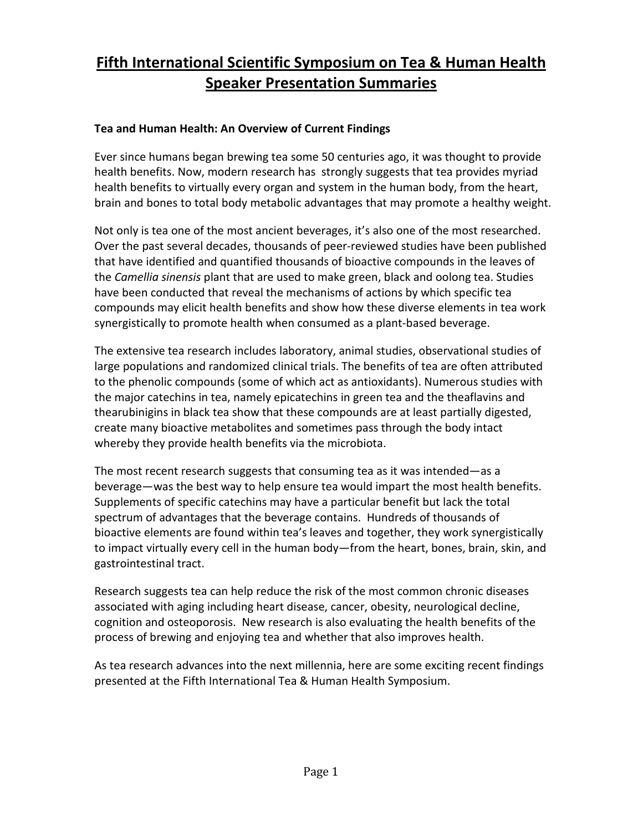# **Fifth International Scientific Symposium on Tea & Human Health Speaker Presentation Summaries**

# **Tea and Human Health: An Overview of Current Findings**

Ever since humans began brewing tea some 50 centuries ago, it was thought to provide health benefits. Now, modern research has strongly suggests that tea provides myriad health benefits to virtually every organ and system in the human body, from the heart, brain and bones to total body metabolic advantages that may promote a healthy weight.

Not only is tea one of the most ancient beverages, it's also one of the most researched. Over the past several decades, thousands of peer-reviewed studies have been published that have identified and quantified thousands of bioactive compounds in the leaves of the *Camellia sinensis* plant that are used to make green, black and oolong tea. Studies have been conducted that reveal the mechanisms of actions by which specific tea compounds may elicit health benefits and show how these diverse elements in tea work synergistically to promote health when consumed as a plant-based beverage.

The extensive tea research includes laboratory, animal studies, observational studies of large populations and randomized clinical trials. The benefits of tea are often attributed to the phenolic compounds (some of which act as antioxidants). Numerous studies with the major catechins in tea, namely epicatechins in green tea and the theaflavins and thearubinigins in black tea show that these compounds are at least partially digested, create many bioactive metabolites and sometimes pass through the body intact whereby they provide health benefits via the microbiota.

The most recent research suggests that consuming tea as it was intended—as a beverage—was the best way to help ensure tea would impart the most health benefits. Supplements of specific catechins may have a particular benefit but lack the total spectrum of advantages that the beverage contains. Hundreds of thousands of bioactive elements are found within tea's leaves and together, they work synergistically to impact virtually every cell in the human body—from the heart, bones, brain, skin, and gastrointestinal tract.

Research suggests tea can help reduce the risk of the most common chronic diseases associated with aging including heart disease, cancer, obesity, neurological decline, cognition and osteoporosis. New research is also evaluating the health benefits of the process of brewing and enjoying tea and whether that also improves health.

As tea research advances into the next millennia, here are some exciting recent findings presented at the Fifth International Tea & Human Health Symposium.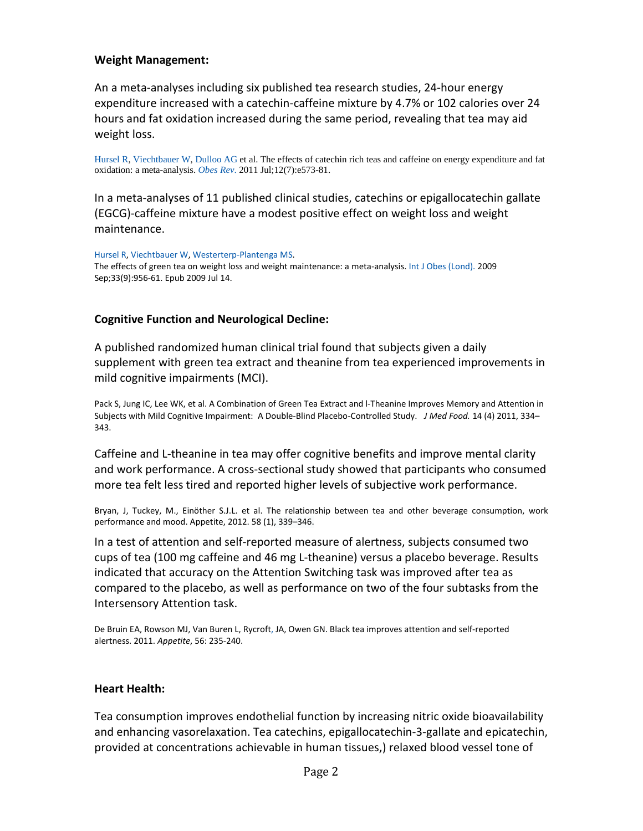#### **Weight Management:**

An a meta-analyses including six published tea research studies, 24-hour energy expenditure increased with a catechin-caffeine mixture by 4.7% or 102 calories over 24 hours and fat oxidation increased during the same period, revealing that tea may aid weight loss.

[Hursel](http://www.ncbi.nlm.nih.gov.ezproxy.cul.columbia.edu/pubmed?term=Hursel%20R%5BAuthor%5D&cauthor=true&cauthor_uid=21366839) R[, Viechtbauer](http://www.ncbi.nlm.nih.gov.ezproxy.cul.columbia.edu/pubmed?term=Viechtbauer%20W%5BAuthor%5D&cauthor=true&cauthor_uid=21366839) W, [Dulloo](http://www.ncbi.nlm.nih.gov.ezproxy.cul.columbia.edu/pubmed?term=Dulloo%20AG%5BAuthor%5D&cauthor=true&cauthor_uid=21366839) AG et al. The effects of catechin rich teas and caffeine on energy expenditure and fat oxidation: a meta-analysis. *[Obes](http://www.ncbi.nlm.nih.gov.ezproxy.cul.columbia.edu/pubmed/21366839) Rev*. 2011 Jul;12(7):e573-81.

In a meta-analyses of 11 published clinical studies, catechins or epigallocatechin gallate (EGCG)-caffeine mixture have a modest positive effect on weight loss and weight maintenance.

[Hursel](http://www.ncbi.nlm.nih.gov/pubmed?term=Hursel%20R%5BAuthor%5D&cauthor=true&cauthor_uid=19597519) R[, Viechtbauer](http://www.ncbi.nlm.nih.gov/pubmed?term=Viechtbauer%20W%5BAuthor%5D&cauthor=true&cauthor_uid=19597519) W[, Westerterp-Plantenga](http://www.ncbi.nlm.nih.gov/pubmed?term=Westerterp-Plantenga%20MS%5BAuthor%5D&cauthor=true&cauthor_uid=19597519) MS. The effects of green tea on weight loss and weight maintenance: a meta-analysis. Int J Obes [\(Lond\).](http://www.ncbi.nlm.nih.gov/pubmed/19597519) 2009 Sep;33(9):956-61. Epub 2009 Jul 14.

#### **Cognitive Function and Neurological Decline:**

A published randomized human clinical trial found that subjects given a daily supplement with green tea extract and theanine from tea experienced improvements in mild cognitive impairments (MCI).

Pack S, Jung IC, Lee WK, et al. A Combination of Green Tea Extract and l-Theanine Improves Memory and Attention in Subjects with Mild Cognitive Impairment: A Double-Blind Placebo-Controlled Study. *J Med Food.* 14 (4) 2011, 334– 343.

Caffeine and L-theanine in tea may offer cognitive benefits and improve mental clarity and work performance. A cross-sectional study showed that participants who consumed more tea felt less tired and reported higher levels of subjective work performance.

Bryan, J, Tuckey, M., Einöther S.J.L. et al. The relationship between tea and other beverage consumption, work performance and mood. Appetite, 2012. 58 (1), 339–346.

In a test of attention and self-reported measure of alertness, subjects consumed two cups of tea (100 mg caffeine and 46 mg L-theanine) versus a placebo beverage. Results indicated that accuracy on the Attention Switching task was improved after tea as compared to the placebo, as well as performance on two of the four subtasks from the Intersensory Attention task.

De Bruin EA, Rowson MJ, Van Buren L, Rycrof[t,](http://www.sciencedirect.com/science?_ob=ArticleURL&_udi=B6WB2-51S0WJC-2&_user=10&_coverDate=12%2F21%2F2010&_rdoc=1&_fmt=high&_orig=search&_origin=search&_sort=d&_docanchor=&view=c&_acct=C000050221&_version=1&_urlVersion=0&_userid=10&md5=2cb3fc75438f2b8d9e1cc446b8325746&searchtype=a#aff0010#aff0010) JA, Owen GN. Black tea improves attention and self-reported alertness. 2011. *Appetite*, 56: 235-240.

#### **Heart Health:**

Tea consumption improves endothelial function by increasing nitric oxide bioavailability and enhancing vasorelaxation. Tea catechins, epigallocatechin-3-gallate and epicatechin, provided at concentrations achievable in human tissues,) relaxed blood vessel tone of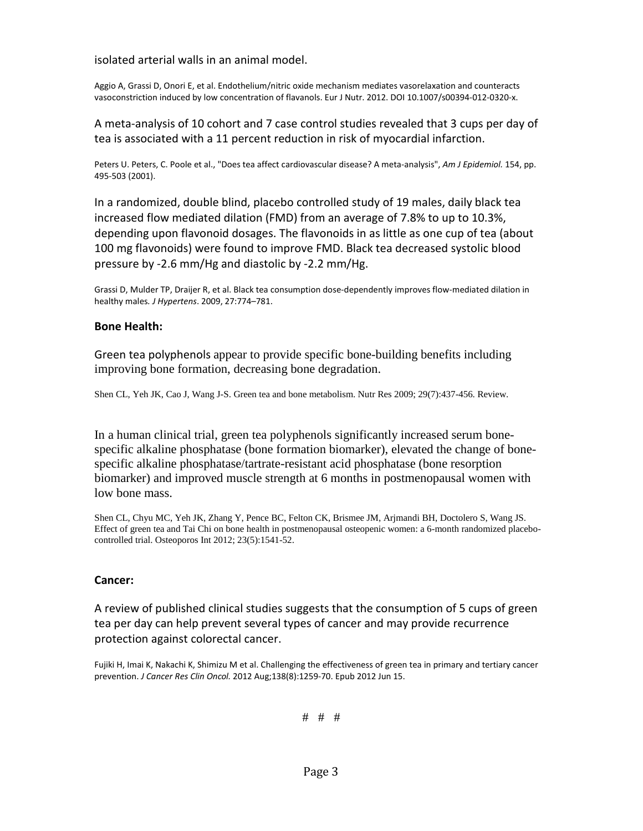#### isolated arterial walls in an animal model.

Aggio A, Grassi D, Onori E, et al. Endothelium/nitric oxide mechanism mediates vasorelaxation and counteracts vasoconstriction induced by low concentration of flavanols. Eur J Nutr. 2012. DOI 10.1007/s00394-012-0320-x.

A meta-analysis of 10 cohort and 7 case control studies revealed that 3 cups per day of tea is associated with a 11 percent reduction in risk of myocardial infarction.

Peters U. Peters, C. Poole et al., "Does tea affect cardiovascular disease? A meta-analysis", *Am J Epidemiol.* 154, pp. 495-503 (2001).

In a randomized, double blind, placebo controlled study of 19 males, daily black tea increased flow mediated dilation (FMD) from an average of 7.8% to up to 10.3%, depending upon flavonoid dosages. The flavonoids in as little as one cup of tea (about 100 mg flavonoids) were found to improve FMD. Black tea decreased systolic blood pressure by -2.6 mm/Hg and diastolic by -2.2 mm/Hg.

Grassi D, Mulder TP, Draijer R, et al. Black tea consumption dose-dependently improves flow-mediated dilation in healthy males*. J Hypertens*. 2009, 27:774–781.

#### **Bone Health:**

Green tea polyphenols appear to provide specific bone-building benefits including improving bone formation, decreasing bone degradation.

Shen CL, Yeh JK, Cao J, Wang J-S. Green tea and bone metabolism. Nutr Res 2009; 29(7):437-456. Review.

In a human clinical trial, green tea polyphenols significantly increased serum bonespecific alkaline phosphatase (bone formation biomarker), elevated the change of bonespecific alkaline phosphatase/tartrate-resistant acid phosphatase (bone resorption biomarker) and improved muscle strength at 6 months in postmenopausal women with low bone mass.

Shen CL, Chyu MC, Yeh JK, Zhang Y, Pence BC, Felton CK, Brismee JM, Arjmandi BH, Doctolero S, Wang JS. Effect of green tea and Tai Chi on bone health in postmenopausal osteopenic women: a 6-month randomized placebocontrolled trial. Osteoporos Int 2012; 23(5):1541-52.

#### **Cancer:**

A review of published clinical studies suggests that the consumption of 5 cups of green tea per day can help prevent several types of cancer and may provide recurrence protection against colorectal cancer.

[Fujiki H,](http://www.ncbi.nlm.nih.gov.ezproxy.cul.columbia.edu/pubmed?term=Fujiki%20H%5BAuthor%5D&cauthor=true&cauthor_uid=22699930) [Imai K,](http://www.ncbi.nlm.nih.gov.ezproxy.cul.columbia.edu/pubmed?term=Imai%20K%5BAuthor%5D&cauthor=true&cauthor_uid=22699930) [Nakachi K,](http://www.ncbi.nlm.nih.gov.ezproxy.cul.columbia.edu/pubmed?term=Nakachi%20K%5BAuthor%5D&cauthor=true&cauthor_uid=22699930) [Shimizu M](http://www.ncbi.nlm.nih.gov.ezproxy.cul.columbia.edu/pubmed?term=Shimizu%20M%5BAuthor%5D&cauthor=true&cauthor_uid=22699930) et al. Challenging the effectiveness of green tea in primary and tertiary cancer prevention. *[J Cancer Res Clin Oncol.](http://www.ncbi.nlm.nih.gov.ezproxy.cul.columbia.edu/pubmed/22699930)* 2012 Aug;138(8):1259-70. Epub 2012 Jun 15.

# # #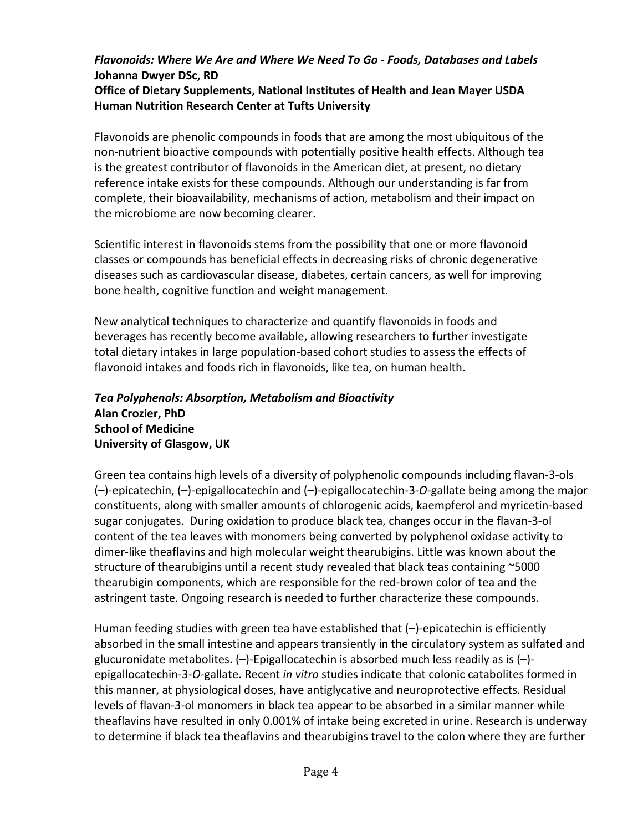# *Flavonoids: Where We Are and Where We Need To Go - Foods, Databases and Labels* **Johanna Dwyer DSc, RD**

## **Office of Dietary Supplements, National Institutes of Health and Jean Mayer USDA Human Nutrition Research Center at Tufts University**

Flavonoids are phenolic compounds in foods that are among the most ubiquitous of the non-nutrient bioactive compounds with potentially positive health effects. Although tea is the greatest contributor of flavonoids in the American diet, at present, no dietary reference intake exists for these compounds. Although our understanding is far from complete, their bioavailability, mechanisms of action, metabolism and their impact on the microbiome are now becoming clearer.

Scientific interest in flavonoids stems from the possibility that one or more flavonoid classes or compounds has beneficial effects in decreasing risks of chronic degenerative diseases such as cardiovascular disease, diabetes, certain cancers, as well for improving bone health, cognitive function and weight management.

New analytical techniques to characterize and quantify flavonoids in foods and beverages has recently become available, allowing researchers to further investigate total dietary intakes in large population-based cohort studies to assess the effects of flavonoid intakes and foods rich in flavonoids, like tea, on human health.

## *Tea Polyphenols: Absorption, Metabolism and Bioactivity* **Alan Crozier, PhD School of Medicine University of Glasgow, UK**

Green tea contains high levels of a diversity of polyphenolic compounds including flavan-3-ols (–)-epicatechin, (–)-epigallocatechin and (–)-epigallocatechin-3-*O*-gallate being among the major constituents, along with smaller amounts of chlorogenic acids, kaempferol and myricetin-based sugar conjugates. During oxidation to produce black tea, changes occur in the flavan-3-ol content of the tea leaves with monomers being converted by polyphenol oxidase activity to dimer-like theaflavins and high molecular weight thearubigins. Little was known about the structure of thearubigins until a recent study revealed that black teas containing ~5000 thearubigin components, which are responsible for the red-brown color of tea and the astringent taste. Ongoing research is needed to further characterize these compounds.

Human feeding studies with green tea have established that (–)-epicatechin is efficiently absorbed in the small intestine and appears transiently in the circulatory system as sulfated and glucuronidate metabolites. (–)-Epigallocatechin is absorbed much less readily as is (–) epigallocatechin-3-*O*-gallate. Recent *in vitro* studies indicate that colonic catabolites formed in this manner, at physiological doses, have antiglycative and neuroprotective effects. Residual levels of flavan-3-ol monomers in black tea appear to be absorbed in a similar manner while theaflavins have resulted in only 0.001% of intake being excreted in urine. Research is underway to determine if black tea theaflavins and thearubigins travel to the colon where they are further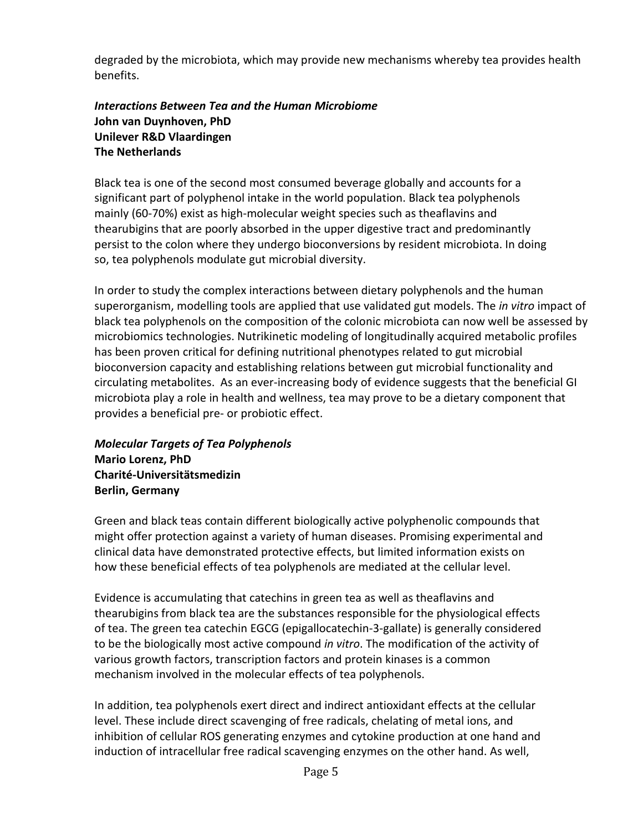degraded by the microbiota, which may provide new mechanisms whereby tea provides health benefits.

## *Interactions Between Tea and the Human Microbiome*  **John van Duynhoven, PhD Unilever R&D Vlaardingen The Netherlands**

Black tea is one of the second most consumed beverage globally and accounts for a significant part of polyphenol intake in the world population. Black tea polyphenols mainly (60-70%) exist as high-molecular weight species such as theaflavins and thearubigins that are poorly absorbed in the upper digestive tract and predominantly persist to the colon where they undergo bioconversions by resident microbiota. In doing so, tea polyphenols modulate gut microbial diversity.

In order to study the complex interactions between dietary polyphenols and the human superorganism, modelling tools are applied that use validated gut models. The *in vitro* impact of black tea polyphenols on the composition of the colonic microbiota can now well be assessed by microbiomics technologies. Nutrikinetic modeling of longitudinally acquired metabolic profiles has been proven critical for defining nutritional phenotypes related to gut microbial bioconversion capacity and establishing relations between gut microbial functionality and circulating metabolites. As an ever-increasing body of evidence suggests that the beneficial GI microbiota play a role in health and wellness, tea may prove to be a dietary component that provides a beneficial pre- or probiotic effect.

# *Molecular Targets of Tea Polyphenols* **Mario Lorenz, PhD Charité-Universitätsmedizin Berlin, Germany**

Green and black teas contain different biologically active polyphenolic compounds that might offer protection against a variety of human diseases. Promising experimental and clinical data have demonstrated protective effects, but limited information exists on how these beneficial effects of tea polyphenols are mediated at the cellular level.

Evidence is accumulating that catechins in green tea as well as theaflavins and thearubigins from black tea are the substances responsible for the physiological effects of tea. The green tea catechin EGCG (epigallocatechin-3-gallate) is generally considered to be the biologically most active compound *in vitro*. The modification of the activity of various growth factors, transcription factors and protein kinases is a common mechanism involved in the molecular effects of tea polyphenols.

In addition, tea polyphenols exert direct and indirect antioxidant effects at the cellular level. These include direct scavenging of free radicals, chelating of metal ions, and inhibition of cellular ROS generating enzymes and cytokine production at one hand and induction of intracellular free radical scavenging enzymes on the other hand. As well,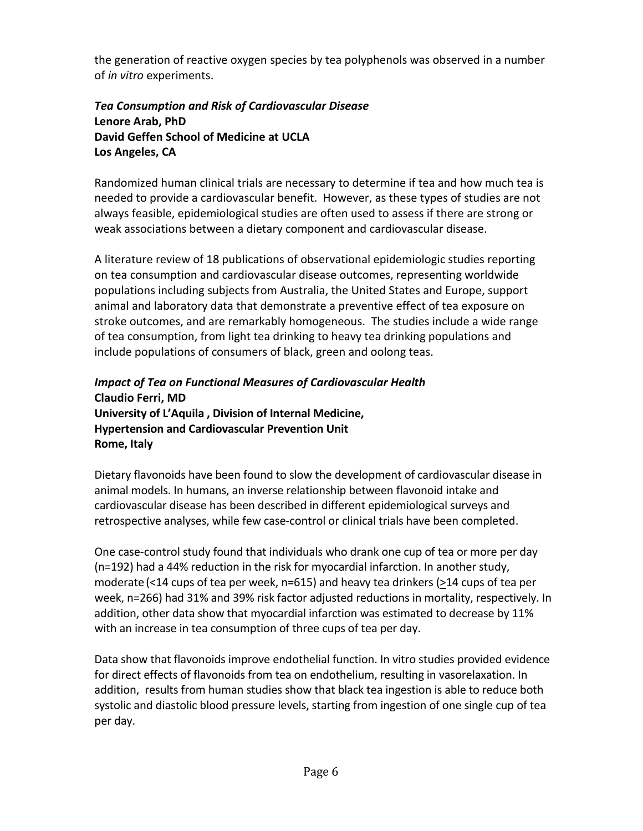the generation of reactive oxygen species by tea polyphenols was observed in a number of *in vitro* experiments.

## *Tea Consumption and Risk of Cardiovascular Disease*  **Lenore Arab, PhD David Geffen School of Medicine at UCLA Los Angeles, CA**

Randomized human clinical trials are necessary to determine if tea and how much tea is needed to provide a cardiovascular benefit. However, as these types of studies are not always feasible, epidemiological studies are often used to assess if there are strong or weak associations between a dietary component and cardiovascular disease.

A literature review of 18 publications of observational epidemiologic studies reporting on tea consumption and cardiovascular disease outcomes, representing worldwide populations including subjects from Australia, the United States and Europe, support animal and laboratory data that demonstrate a preventive effect of tea exposure on stroke outcomes, and are remarkably homogeneous. The studies include a wide range of tea consumption, from light tea drinking to heavy tea drinking populations and include populations of consumers of black, green and oolong teas.

## *Impact of Tea on Functional Measures of Cardiovascular Health* **Claudio Ferri, MD University of L'Aquila , Division of Internal Medicine, Hypertension and Cardiovascular Prevention Unit Rome, Italy**

Dietary flavonoids have been found to slow the development of cardiovascular disease in animal models. In humans, an inverse relationship between flavonoid intake and cardiovascular disease has been described in different epidemiological surveys and retrospective analyses, while few case-control or clinical trials have been completed.

One case-control study found that individuals who drank one cup of tea or more per day (n=192) had a 44% reduction in the risk for myocardial infarction. In another study, moderate (<14 cups of tea per week, n=615) and heavy tea drinkers (>14 cups of tea per week, n=266) had 31% and 39% risk factor adjusted reductions in mortality, respectively. In addition, other data show that myocardial infarction was estimated to decrease by 11% with an increase in tea consumption of three cups of tea per day.

Data show that flavonoids improve endothelial function. In vitro studies provided evidence for direct effects of flavonoids from tea on endothelium, resulting in vasorelaxation. In addition, results from human studies show that black tea ingestion is able to reduce both systolic and diastolic blood pressure levels, starting from ingestion of one single cup of tea per day.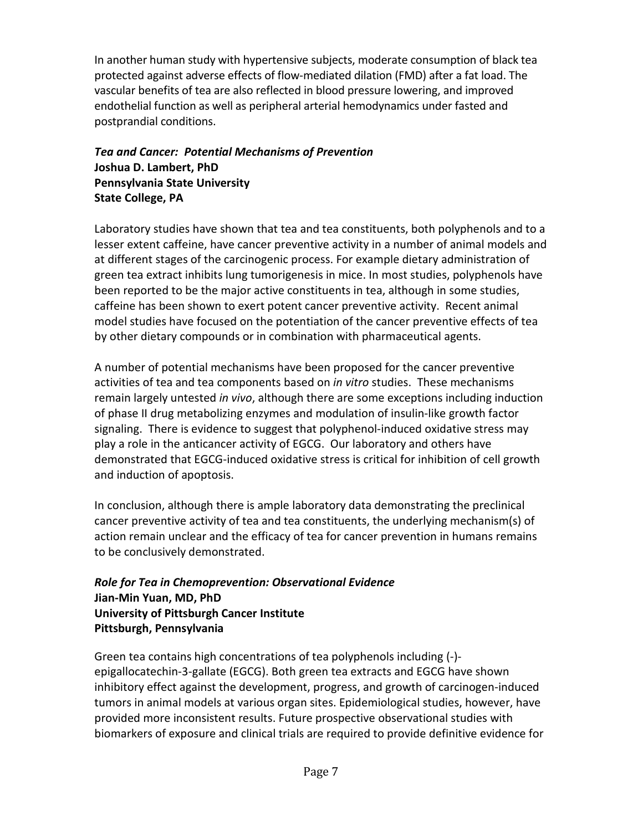In another human study with hypertensive subjects, moderate consumption of black tea protected against adverse effects of flow-mediated dilation (FMD) after a fat load. The vascular benefits of tea are also reflected in blood pressure lowering, and improved endothelial function as well as peripheral arterial hemodynamics under fasted and postprandial conditions.

# *Tea and Cancer: Potential Mechanisms of Prevention* **Joshua D. Lambert, PhD Pennsylvania State University State College, PA**

Laboratory studies have shown that tea and tea constituents, both polyphenols and to a lesser extent caffeine, have cancer preventive activity in a number of animal models and at different stages of the carcinogenic process. For example dietary administration of green tea extract inhibits lung tumorigenesis in mice. In most studies, polyphenols have been reported to be the major active constituents in tea, although in some studies, caffeine has been shown to exert potent cancer preventive activity. Recent animal model studies have focused on the potentiation of the cancer preventive effects of tea by other dietary compounds or in combination with pharmaceutical agents.

A number of potential mechanisms have been proposed for the cancer preventive activities of tea and tea components based on *in vitro* studies. These mechanisms remain largely untested *in vivo*, although there are some exceptions including induction of phase II drug metabolizing enzymes and modulation of insulin-like growth factor signaling. There is evidence to suggest that polyphenol-induced oxidative stress may play a role in the anticancer activity of EGCG. Our laboratory and others have demonstrated that EGCG-induced oxidative stress is critical for inhibition of cell growth and induction of apoptosis.

In conclusion, although there is ample laboratory data demonstrating the preclinical cancer preventive activity of tea and tea constituents, the underlying mechanism(s) of action remain unclear and the efficacy of tea for cancer prevention in humans remains to be conclusively demonstrated.

# *Role for Tea in Chemoprevention: Observational Evidence* **Jian-Min Yuan, MD, PhD University of Pittsburgh Cancer Institute Pittsburgh, Pennsylvania**

Green tea contains high concentrations of tea polyphenols including (-) epigallocatechin-3-gallate (EGCG). Both green tea extracts and EGCG have shown inhibitory effect against the development, progress, and growth of carcinogen-induced tumors in animal models at various organ sites. Epidemiological studies, however, have provided more inconsistent results. Future prospective observational studies with biomarkers of exposure and clinical trials are required to provide definitive evidence for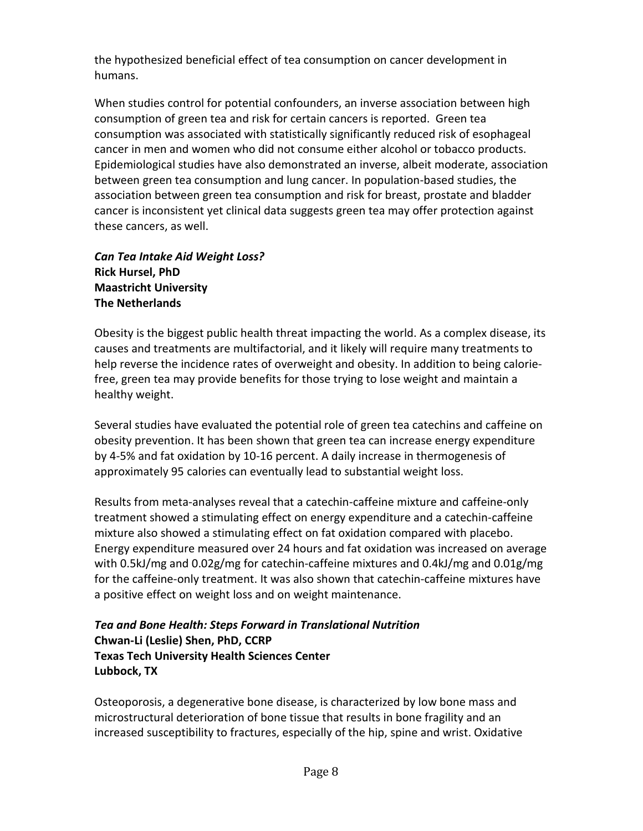the hypothesized beneficial effect of tea consumption on cancer development in humans.

When studies control for potential confounders, an inverse association between high consumption of green tea and risk for certain cancers is reported. Green tea consumption was associated with statistically significantly reduced risk of esophageal cancer in men and women who did not consume either alcohol or tobacco products. Epidemiological studies have also demonstrated an inverse, albeit moderate, association between green tea consumption and lung cancer. In population-based studies, the association between green tea consumption and risk for breast, prostate and bladder cancer is inconsistent yet clinical data suggests green tea may offer protection against these cancers, as well.

*Can Tea Intake Aid Weight Loss?* **Rick Hursel, PhD Maastricht University The Netherlands** 

Obesity is the biggest public health threat impacting the world. As a complex disease, its causes and treatments are multifactorial, and it likely will require many treatments to help reverse the incidence rates of overweight and obesity. In addition to being caloriefree, green tea may provide benefits for those trying to lose weight and maintain a healthy weight.

Several studies have evaluated the potential role of green tea catechins and caffeine on obesity prevention. It has been shown that green tea can increase energy expenditure by 4-5% and fat oxidation by 10-16 percent. A daily increase in thermogenesis of approximately 95 calories can eventually lead to substantial weight loss.

Results from meta-analyses reveal that a catechin-caffeine mixture and caffeine-only treatment showed a stimulating effect on energy expenditure and a catechin-caffeine mixture also showed a stimulating effect on fat oxidation compared with placebo. Energy expenditure measured over 24 hours and fat oxidation was increased on average with 0.5kJ/mg and 0.02g/mg for catechin-caffeine mixtures and 0.4kJ/mg and 0.01g/mg for the caffeine-only treatment. It was also shown that catechin-caffeine mixtures have a positive effect on weight loss and on weight maintenance.

## *Tea and Bone Health: Steps Forward in Translational Nutrition* **Chwan-Li (Leslie) Shen, PhD, CCRP Texas Tech University Health Sciences Center Lubbock, TX**

Osteoporosis, a degenerative bone disease, is characterized by low bone mass and microstructural deterioration of bone tissue that results in bone fragility and an increased susceptibility to fractures, especially of the hip, spine and wrist. Oxidative